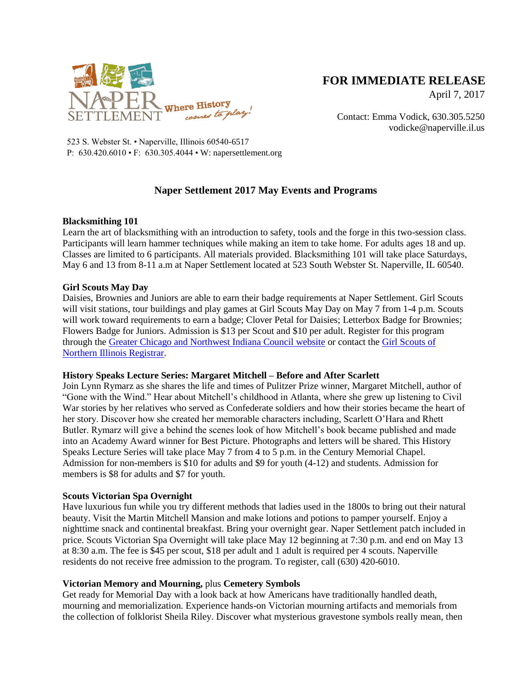

# **FOR IMMEDIATE RELEASE**

April 7, 2017

Contact: Emma Vodick, 630.305.5250 vodicke@naperville.il.us

523 S. Webster St. • Naperville, Illinois 60540-6517 P: 630.420.6010 • F: 630.305.4044 • W: napersettlement.org

# **Naper Settlement 2017 May Events and Programs**

## **Blacksmithing 101**

Learn the art of blacksmithing with an introduction to safety, tools and the forge in this two-session class. Participants will learn hammer techniques while making an item to take home. For adults ages 18 and up. Classes are limited to 6 participants. All materials provided. Blacksmithing 101 will take place Saturdays, May 6 and 13 from 8-11 a.m at Naper Settlement located at 523 South Webster St. Naperville, IL 60540.

### **Girl Scouts May Day**

Daisies, Brownies and Juniors are able to earn their badge requirements at Naper Settlement. Girl Scouts will visit stations, tour buildings and play games at Girl Scouts May Day on May 7 from 1-4 p.m. Scouts will work toward requirements to earn a badge; Clover Petal for Daisies; Letterbox Badge for Brownies; Flowers Badge for Juniors. Admission is \$13 per Scout and \$10 per adult. Register for this program through the [Greater Chicago and Northwest Indiana Council website](http://gcnwiprograms.org/program/3565) or contact the [Girl Scouts of](https://gsusa.ebiz.uapps.net/VP/NoPortal.html)  [Northern Illinois Registrar.](https://gsusa.ebiz.uapps.net/VP/NoPortal.html)

## **History Speaks Lecture Series: Margaret Mitchell – Before and After Scarlett**

Join Lynn Rymarz as she shares the life and times of Pulitzer Prize winner, Margaret Mitchell, author of "Gone with the Wind." Hear about Mitchell's childhood in Atlanta, where she grew up listening to Civil War stories by her relatives who served as Confederate soldiers and how their stories became the heart of her story. Discover how she created her memorable characters including, Scarlett O'Hara and Rhett Butler. Rymarz will give a behind the scenes look of how Mitchell's book became published and made into an Academy Award winner for Best Picture. Photographs and letters will be shared. This History Speaks Lecture Series will take place May 7 from 4 to 5 p.m. in the Century Memorial Chapel. Admission for non-members is \$10 for adults and \$9 for youth (4-12) and students. Admission for members is \$8 for adults and \$7 for youth.

#### **Scouts Victorian Spa Overnight**

Have luxurious fun while you try different methods that ladies used in the 1800s to bring out their natural beauty. Visit the Martin Mitchell Mansion and make lotions and potions to pamper yourself. Enjoy a nighttime snack and continental breakfast. Bring your overnight gear. Naper Settlement patch included in price. Scouts Victorian Spa Overnight will take place May 12 beginning at 7:30 p.m. and end on May 13 at 8:30 a.m. The fee is \$45 per scout, \$18 per adult and 1 adult is required per 4 scouts. Naperville residents do not receive free admission to the program. To register, call (630) 420-6010.

#### **Victorian Memory and Mourning,** plus **Cemetery Symbols**

Get ready for Memorial Day with a look back at how Americans have traditionally handled death, mourning and memorialization. Experience hands-on Victorian mourning artifacts and memorials from the collection of folklorist Sheila Riley. Discover what mysterious gravestone symbols really mean, then